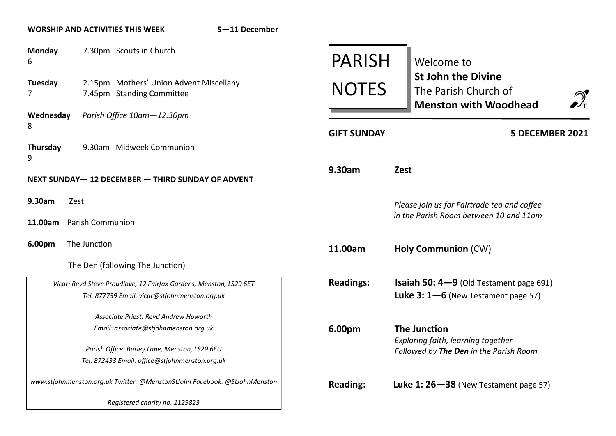## **WORSHIP AND ACTIVITIES THIS WEEK 5—11 December**

| <b>Monday</b><br>6                                                                                          |                                                                    | 7.30pm Scouts in Church                                              |                 | <b>PARISH</b>                                                                         |                                           | Welcome to                                                                                               |  |
|-------------------------------------------------------------------------------------------------------------|--------------------------------------------------------------------|----------------------------------------------------------------------|-----------------|---------------------------------------------------------------------------------------|-------------------------------------------|----------------------------------------------------------------------------------------------------------|--|
|                                                                                                             | Tuesday<br>7                                                       | 2.15pm Mothers' Union Advent Miscellany<br>7.45pm Standing Committee |                 | <b>NOTES</b>                                                                          |                                           | <b>St John the Divine</b><br>The Parish Church of<br>$\sum_{\mathsf{t}}$<br><b>Menston with Woodhead</b> |  |
| Parish Office 10am-12.30pm<br>Wednesday<br>8                                                                |                                                                    |                                                                      |                 |                                                                                       |                                           |                                                                                                          |  |
|                                                                                                             | Thursday<br>9                                                      | 9.30am Midweek Communion                                             |                 | <b>GIFT SUNDAY</b>                                                                    |                                           | 5 DECEMBER 2021                                                                                          |  |
|                                                                                                             |                                                                    | NEXT SUNDAY-12 DECEMBER - THIRD SUNDAY OF ADVENT                     |                 | 9.30am                                                                                | <b>Zest</b>                               |                                                                                                          |  |
|                                                                                                             | 9.30am<br>Zest<br><b>Parish Communion</b><br>11.00am               |                                                                      |                 | Please join us for Fairtrade tea and coffee<br>in the Parish Room between 10 and 11am |                                           |                                                                                                          |  |
|                                                                                                             |                                                                    |                                                                      |                 |                                                                                       |                                           |                                                                                                          |  |
|                                                                                                             | 6.00pm                                                             | The Junction                                                         |                 | 11.00am                                                                               |                                           | <b>Holy Communion (CW)</b>                                                                               |  |
|                                                                                                             |                                                                    | The Den (following The Junction)                                     |                 |                                                                                       |                                           |                                                                                                          |  |
|                                                                                                             | Vicar: Revd Steve Proudlove, 12 Fairfax Gardens, Menston, LS29 6ET |                                                                      |                 | <b>Readings:</b>                                                                      |                                           | <b>Isaiah 50: 4-9</b> (Old Testament page 691)                                                           |  |
|                                                                                                             |                                                                    | Tel: 877739 Email: vicar@stjohnmenston.org.uk                        |                 |                                                                                       |                                           | Luke $3:1-6$ (New Testament page 57)                                                                     |  |
|                                                                                                             | Associate Priest: Revd Andrew Howorth                              |                                                                      |                 |                                                                                       |                                           |                                                                                                          |  |
| Email: associate@stjohnmenston.org.uk                                                                       |                                                                    |                                                                      | 6.00pm          |                                                                                       | <b>The Junction</b>                       |                                                                                                          |  |
|                                                                                                             |                                                                    | Parish Office: Burley Lane, Menston, LS29 6EU                        |                 |                                                                                       |                                           | Exploring faith, learning together<br>Followed by The Den in the Parish Room                             |  |
|                                                                                                             | Tel: 872433 Email: office@stjohnmenston.org.uk                     |                                                                      |                 |                                                                                       |                                           |                                                                                                          |  |
| www.stjohnmenston.org.uk Twitter: @MenstonStJohn Facebook: @StJohnMenston<br>Registered charity no. 1129823 |                                                                    |                                                                      | <b>Reading:</b> |                                                                                       | Luke 1: $26 - 38$ (New Testament page 57) |                                                                                                          |  |
|                                                                                                             |                                                                    |                                                                      |                 |                                                                                       |                                           |                                                                                                          |  |